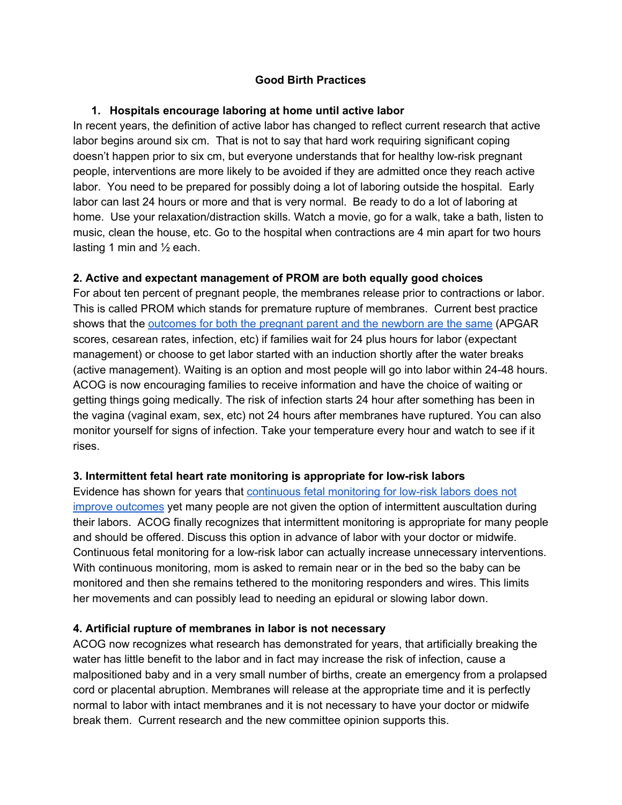# **Good Birth Practices**

### **1. Hospitals encourage laboring at home until active labor**

In recent years, the definition of active labor has changed to reflect current research that active labor begins around six cm. That is not to say that hard work requiring significant coping doesn't happen prior to six cm, but everyone understands that for healthy low-risk pregnant people, interventions are more likely to be avoided if they are admitted once they reach active labor. You need to be prepared for possibly doing a lot of laboring outside the hospital. Early labor can last 24 hours or more and that is very normal. Be ready to do a lot of laboring at home. Use your relaxation/distraction skills. Watch a movie, go for a walk, take a bath, listen to music, clean the house, etc. Go to the hospital when contractions are 4 min apart for two hours lasting 1 min and  $\frac{1}{2}$  each.

# **2. Active and expectant management of PROM are both equally good choices**

For about ten percent of pregnant people, the membranes release prior to contractions or labor. This is called PROM which stands for premature rupture of membranes. Current best practice shows that th[e](http://evidencebasedbirth.com/evidence-inducing-labor-water-breaks-term/) [outcomes](http://evidencebasedbirth.com/evidence-inducing-labor-water-breaks-term/) for both the pregnant parent and the newborn are the same (APGAR scores, cesarean rates, infection, etc) if families wait for 24 plus hours for labor (expectant management) or choose to get labor started with an induction shortly after the water breaks (active management). Waiting is an option and most people will go into labor within 24-48 hours. ACOG is now encouraging families to receive information and have the choice of waiting or getting things going medically. The risk of infection starts 24 hour after something has been in the vagina (vaginal exam, sex, etc) not 24 hours after membranes have ruptured. You can also monitor yourself for signs of infection. Take your temperature every hour and watch to see if it rises.

#### **3. Intermittent fetal heart rate monitoring is appropriate for low-risk labors**

Evidence has shown for years that [continuous](https://evidencebasedbirth.com/evidence-based-fetal-monitoring/) fetal monitoring for low-risk labors does not improve [outcomes](https://evidencebasedbirth.com/evidence-based-fetal-monitoring/) yet many people are not given the option of intermittent auscultation during their labors. ACOG finally recognizes that intermittent monitoring is appropriate for many people and should be offered. Discuss this option in advance of labor with your doctor or midwife. Continuous fetal monitoring for a low-risk labor can actually increase unnecessary interventions. With continuous monitoring, mom is asked to remain near or in the bed so the baby can be monitored and then she remains tethered to the monitoring responders and wires. This limits her movements and can possibly lead to needing an epidural or slowing labor down.

#### **4. Artificial rupture of membranes in labor is not necessary**

ACOG now recognizes what research has demonstrated for years, that artificially breaking the water has little benefit to the labor and in fact may increase the risk of infection, cause a malpositioned baby and in a very small number of births, create an emergency from a prolapsed cord or placental abruption. Membranes will release at the appropriate time and it is perfectly normal to labor with intact membranes and it is not necessary to have your doctor or midwife break them. Current research and the new committee opinion supports this.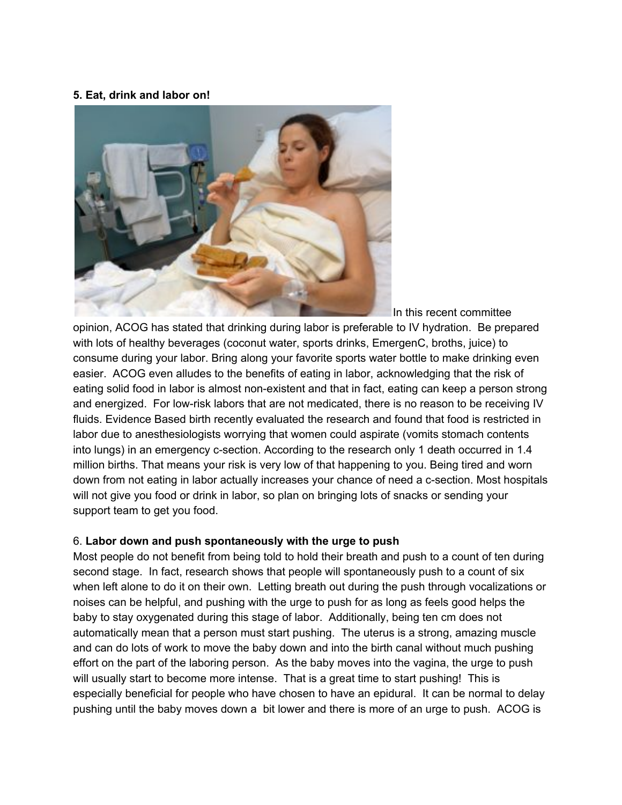#### **5. Eat, drink and labor on!**



In this recent committee

opinion, ACOG has stated that drinking during labor is preferable to IV hydration. Be prepared with lots of healthy beverages (coconut water, sports drinks, EmergenC, broths, juice) to consume during your labor. Bring along your favorite sports water bottle to make drinking even easier. ACOG even alludes to the benefits of eating in labor, acknowledging that the risk of eating solid food in labor is almost non-existent and that in fact, eating can keep a person strong and energized. For low-risk labors that are not medicated, there is no reason to be receiving IV fluids. Evidence Based birth recently evaluated the research and found that food is restricted in labor due to anesthesiologists worrying that women could aspirate (vomits stomach contents into lungs) in an emergency c-section. According to the research only 1 death occurred in 1.4 million births. That means your risk is very low of that happening to you. Being tired and worn down from not eating in labor actually increases your chance of need a c-section. Most hospitals will not give you food or drink in labor, so plan on bringing lots of snacks or sending your support team to get you food.

#### 6. **Labor down and push spontaneously with the urge to push**

Most people do not benefit from being told to hold their breath and push to a count of ten during second stage. In fact, research shows that people will spontaneously push to a count of six when left alone to do it on their own. Letting breath out during the push through vocalizations or noises can be helpful, and pushing with the urge to push for as long as feels good helps the baby to stay oxygenated during this stage of labor. Additionally, being ten cm does not automatically mean that a person must start pushing. The uterus is a strong, amazing muscle and can do lots of work to move the baby down and into the birth canal without much pushing effort on the part of the laboring person. As the baby moves into the vagina, the urge to push will usually start to become more intense. That is a great time to start pushing! This is especially beneficial for people who have chosen to have an epidural. It can be normal to delay pushing until the baby moves down a bit lower and there is more of an urge to push. ACOG is